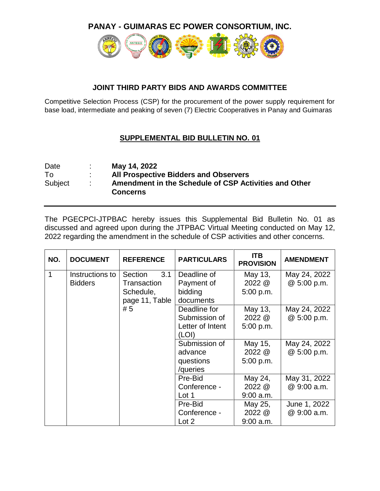**PANAY - GUIMARAS EC POWER CONSORTIUM, INC.**



## **JOINT THIRD PARTY BIDS AND AWARDS COMMITTEE**

Competitive Selection Process (CSP) for the procurement of the power supply requirement for base load, intermediate and peaking of seven (7) Electric Cooperatives in Panay and Guimaras

## **SUPPLEMENTAL BID BULLETIN NO. 01**

| Date    | May 14, 2022                                                             |
|---------|--------------------------------------------------------------------------|
| To      | <b>All Prospective Bidders and Observers</b>                             |
| Subject | Amendment in the Schedule of CSP Activities and Other<br><b>Concerns</b> |

The PGECPCI-JTPBAC hereby issues this Supplemental Bid Bulletin No. 01 as discussed and agreed upon during the JTPBAC Virtual Meeting conducted on May 12, 2022 regarding the amendment in the schedule of CSP activities and other concerns.

| NO. | <b>DOCUMENT</b> | <b>REFERENCE</b> | <b>PARTICULARS</b> | <b>ITB</b><br><b>PROVISION</b> | <b>AMENDMENT</b> |
|-----|-----------------|------------------|--------------------|--------------------------------|------------------|
| 1   | Instructions to | 3.1<br>Section   | Deadline of        | May 13,                        | May 24, 2022     |
|     | <b>Bidders</b>  | Transaction      | Payment of         | $2022 \&$                      | @ 5:00 p.m.      |
|     |                 | Schedule,        | bidding            | 5:00 p.m.                      |                  |
|     |                 | page 11, Table   | documents          |                                |                  |
|     |                 | #5               | Deadline for       | May 13,                        | May 24, 2022     |
|     |                 |                  | Submission of      | $2022 \&$                      | @ 5:00 p.m.      |
|     |                 |                  | Letter of Intent   | 5:00 p.m.                      |                  |
|     |                 |                  | (LOI)              |                                |                  |
|     |                 |                  | Submission of      | May 15,                        | May 24, 2022     |
|     |                 |                  | advance            | $2022 \&$                      | @ 5:00 p.m.      |
|     |                 |                  | questions          | 5:00 p.m.                      |                  |
|     |                 |                  | /queries           |                                |                  |
|     |                 |                  | Pre-Bid            | May 24,                        | May 31, 2022     |
|     |                 |                  | Conference -       | 2022 @                         | @ 9:00 a.m.      |
|     |                 |                  | Lot 1              | $9:00$ a.m.                    |                  |
|     |                 |                  | Pre-Bid            | May 25,                        | June 1, 2022     |
|     |                 |                  | Conference -       | 2022 @                         | @ 9:00 a.m.      |
|     |                 |                  | Lot 2              | $9:00$ a.m.                    |                  |